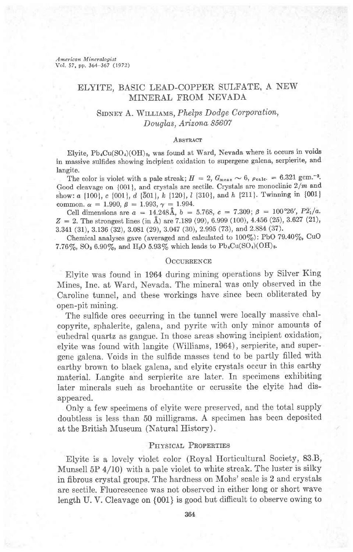American Mineralogist Vol. 57, pp. 364-367 (1972)

# ELYITE, BASIC LEAD-COPPER SULFATE, A NEW MINERAL FROM NEVADA

# SIDNEY A. WILLIAMS, Phelps Dodge Corporation, Douglas, Arizona 85607

#### **ABSTRACT**

Elyite,  $Pb_4Cu(SO_4)(OH)_8$ , was found at Ward, Nevada where it occurs in voids in massive sulfides showing incipient oxidation to supergene galena, serpierite, and langite.

The color is violet with a pale streak;  $H = 2$ ,  $G_{\text{meas}} \sim 6$ ,  $\rho_{\text{calc.}} = 6.321 \text{ gcm}^{-3}$ . Good cleavage on  $\{001\}$ , and crystals are sectile. Crystals are monoclinic  $2/m$  and show: a {100}, c {001}, d {501}, k {120}, l {310}, and h {211}. Twinning in {001} common.  $\alpha = 1.990, \beta = 1.993, \gamma = 1.994.$ 

Cell dimensions are  $a = 14.248\text{\AA}$ ,  $b = 5.768$ ,  $c = 7.309$ ;  $\beta = 100^{\circ}26'$ ,  $P\dot{2}_1/a$ .  $Z = 2$ . The strongest lines (in  $\AA$ ) are 7.189 (99), 6.999 (100), 4.456 (25), 3.627 (21), 3.341 (31), 3.136 (32), 3.081 (29), 3.047 (30), 2.995 (73), and 2.884 (37).

Chemical analyses gave (averaged and calculated to  $100\%$ ): PbO 79.40%, CuO 7.76%, SO<sub>3</sub> 6.90%, and H<sub>2</sub>O 5.93% which leads to Pb<sub>4</sub>Cu(SO<sub>4</sub>)(OH)<sub>8</sub>.

#### OCCURRENCE

Elyite was found in 1964 during mining operations by Silver King Mines, Inc. at Ward, Nevada. The mineral was only observed in the Caroline tunnel, and these workings have since been obliterated by open-pit mining.

The sulfide ores occurring in the tunnel were locally massive chalcopyrite, sphalerite, galena, and pyrite with only minor amounts of euhedral quartz as gangue. In those areas showing incipient oxidation, elyite was found with langite (Williams, 1964), serpierite, and supergene galena. Voids in the sulfide masses tend to be partly filled with earthy browh to black galena, and elyite crystals occur in this earthy material. Langite and serpierite are later. In specimens exhibiting later minerals such as brochantite or cerussite the elyite had disappeared.

Only a few specimens of elyite were preserved, and the total supply doubtless is less than 50 milligrams. A specimen has been deposited at the British Museum (Natural History).

#### PHYSICAL PROPERTIES

Elyite is a lovely violet color (Royal Horticultural Society, 83'B, Munsell 5P 4/10) with a pale violet to white streak. The luster is silky in fibrous crystal groups. The hardness on Mohs' scale is 2 and crystals are sectile. Fluorescence was not observed in either long or short wave length U. V. Cleavage on  $\{001\}$  is good but difficult to observe owing to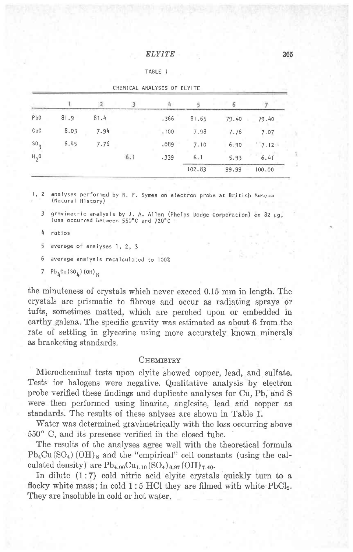#### TABLE I

|      | $\mathcal{D}$ |     |      |        | Б     |          |  |  |
|------|---------------|-----|------|--------|-------|----------|--|--|
| 81.9 | 81.4          |     | .366 | 81.65  | 79.40 | 79.40    |  |  |
| 8.03 | 7.94          |     | .100 | 7.98   | 7.76  | 7.07     |  |  |
| 6.45 | 7.76          |     | .089 | 7.10   | 6.90  | $7.12 -$ |  |  |
|      |               | 6.1 | .339 | 6.1    | 5.93  | 6.41     |  |  |
|      |               |     |      | 102.83 | 99.99 | 100.00   |  |  |
|      |               |     |      |        |       |          |  |  |

CHEMICAL ANALYSES OF ELYITE

1, 2 analyses performed by R. F. Symes on electron probe at British Museum (Natural History)

3 gravimetric analysis by J. A. Ailen (phelps Dodge Corporation) on 82 ug, loss occurred between 550'C and 720.C

4 rat ios

5 average of analyses I,2, J

6 average analysis recalculated to l0OZ

 $7$  Pb<sub>4</sub>Cu(SO<sub>4</sub>)(OH)<sub>8</sub>

the minuteness of crystals which never exceed 0.15 mm in length. The crystals are prismabic to fibrous and occur as radiating sprays or tufts, sometimes matted, which are perched upon or embedded in earthy galena. The specific gravity was estimated as aboui 6 from.the rate of settling in glycerine using more accurately known minerals as bracketing standards.

## CHEMISTRY

Microchemical tests upon elyite showed copper, lead, and sulfate. Tests for halogens were negative. Qualitative analysis by electron probe verified these findings and duplicate analyses for Cu, Pb, and S were then performed using linarite, anglesite, lead and copper as standards. The results of these anlyses are shown in Table 1.

Water was determined gravimetrically with the loss occurring above  $550^{\circ}$  C, and its presence verified in the closed tube.

The results of the analyses agree well with the theoretical formula  $Pb_4Cu(SO_4)(OH)_8$  and the "empirical" cell constants (using the calculated density) are  $Pb_{4.00}Cu_{1.10}(SO_4)_{0.97}(OH)_{7.40}$ .

In dilute  $(1:7)$  cold nitric acid elyite crystals quickly turn to a flocky white mass; in cold  $1:5$  HCl they are filmed with white  $PbCl<sub>2</sub>$ . They are insoluble in cold or hot water,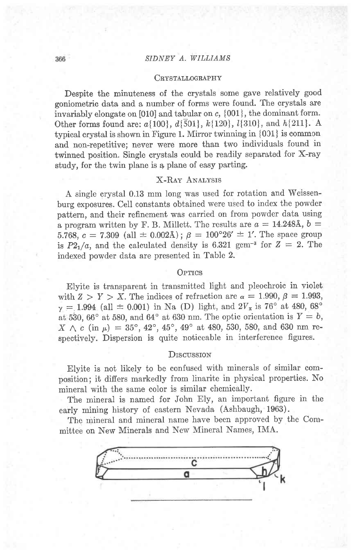# SIDNEY A. WILLIAMS

#### CRYSTALLOGRAPHY

Despite the minuteness of the crystals some gave relatively good goniometric data and a number of forms were found. The crystais are invariably elongate on [010] and tabular on c, {001 }, the dominant form. Other forms found are:  $a\{100\}$ ,  $d\{\overline{5}01\}$ ,  $k\{120\}$ ,  $l\{310\}$ , and  $h\{211\}$ . A typical crystal is shown in Figure 1. Mirror twinning in  $\{0.01\}$  is common and non-repetitive; never were more than two individuals found in twinned position. Single crystals could be readily separated for X-ray study, for the twin plane is a plane of easy parting.

# X-RAY ANALYSIS

A single crystal 0.13 mm long was used for rotation and Weissenburg exposures. Cell constants obtained were used to index the powder pattern, and their refinement was carried on from powder data using a program written by F. B. Millett. The results are  $a = 14.248\text{\AA}$ ,  $b =$ 5.768, c = 7.309 (all  $\pm$  0.002Å);  $\beta = 100^{\circ}26' \pm 1'$ . The space group is  $P2_1/a$ , and the calculated density is 6.321 gcm<sup>-3</sup> for  $Z = 2$ . The indexed powder data are presented in Table 2.

#### **OPTICS**

Elyite is transparent in transmitted light and pleochroic in violet with  $Z > Y > X$ . The indices of refraction are  $\alpha = 1.990, \beta = 1.993$ ,  $\gamma = 1.994$  (all  $\pm$  0.001) in Na (D) light, and  $2V_x$  is 76<sup>o</sup> at 480, 68<sup>o</sup> at 530, 66° at 580, and 64° at 630 nm. The optic orientation is  $Y = b$ ,  $X \wedge c$  (in  $\mu$ ) = 35°, 42°, 45°, 49° at 480, 530, 580, and 630 nm respectively. Dispersion is quite noticeable in interference figures.

### **DISCUSSION**

Elyite is not likely to be confused with minerals of similar composition; it differs markedly from linarite in physical properties. No mineral with the same color is similar chemically.

The mineral is named for John Ely, an important figure in the early mining history of eastern Nevada (Ashbaugh, 1963).

The mineral and mineral name have been approved by the Committee on New Minerals and New Mineral Names, IMA.



366